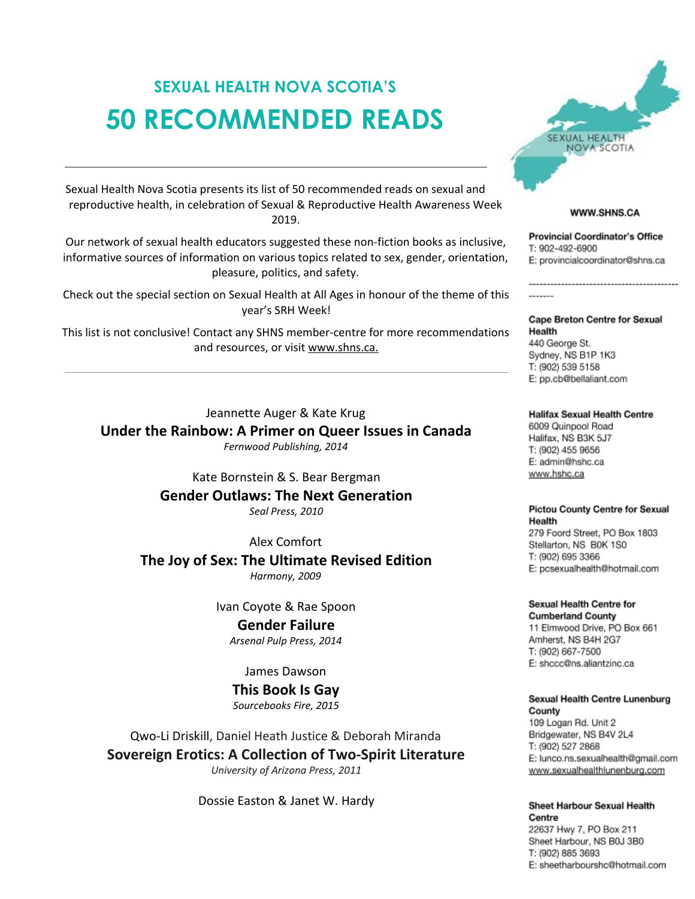# **SEXUAL HEALTH NOVA SCOTIA'S 50 RECOMMENDED READS**

Sexual Health Nova Scotia presents its list of 50 recommended reads on sexual and reproductive health, in celebration of Sexual & Reproductive Health Awareness Week 2019.

Our network of sexual health educators suggested these non-fiction books as inclusive, informative sources of information on various topics related to sex, gender, orientation, pleasure, politics, and safety.

Check out the special section on Sexual Health at All Ages in honour of the theme of this year's SRH Week!

This list is not conclusive! Contact any SHNS member-centre for more recommendations and resources, or visit www.shns.ca.

Jeannette Auger & Kate Krug **Under the Rainbow: A Primer on Queer Issues in Canada**

*Fernwood Publishing, 2014*

Kate Bornstein & S. Bear Bergman **Gender Outlaws: The Next Generation** *Seal Press, 2010*

Alex Comfort **The Joy of Sex: The Ultimate Revised Edition** *Harmony, 2009*

Ivan Coyote & Rae Spoon **Gender Failure** *Arsenal Pulp Press, 2014*

James Dawson

**This Book Is Gay** *Sourcebooks Fire, 2015*

Qwo-Li Driskill, Daniel Heath Justice & Deborah Miranda **Sovereign Erotics: A Collection of Two-Spirit Literature** *University of Arizona Press, 2011*

Dossie Easton & Janet W. Hardy



# **WWW.SHNS.CA**

**Provincial Coordinator's Office** T: 902-492-6900 E: provincialcoordinator@shns.ca

Cape Breton Centre for Sexual Health 440 George St. Sydney, NS B1P 1K3 T: (902) 539 5158 E: pp.cb@bellaliant.com

**Halifax Sexual Health Centre** 6009 Quinpool Road Halifax, NS B3K 5J7 T: (902) 455 9656 E: admin@hshc.ca www.hshc.ca

**Pictou County Centre for Sexual** Health 279 Foord Street, PO Box 1803

Stellarton, NS B0K 1S0 T: (902) 695 3366 E: pcsexualhealth@hotmail.com

Sexual Health Centre for **Cumberland County** 11 Elmwood Drive, PO Box 661 Amherst, NS B4H 2G7 T: (902) 667-7500 E: shccc@ns.aliantzinc.ca

Sexual Health Centre Lunenburg County 109 Logan Rd. Unit 2 Bridgewater, NS B4V 2L4 T: (902) 527 2868 E: lunco.ns.sexualhealth@gmail.com www.sexualhealthlunenburg.com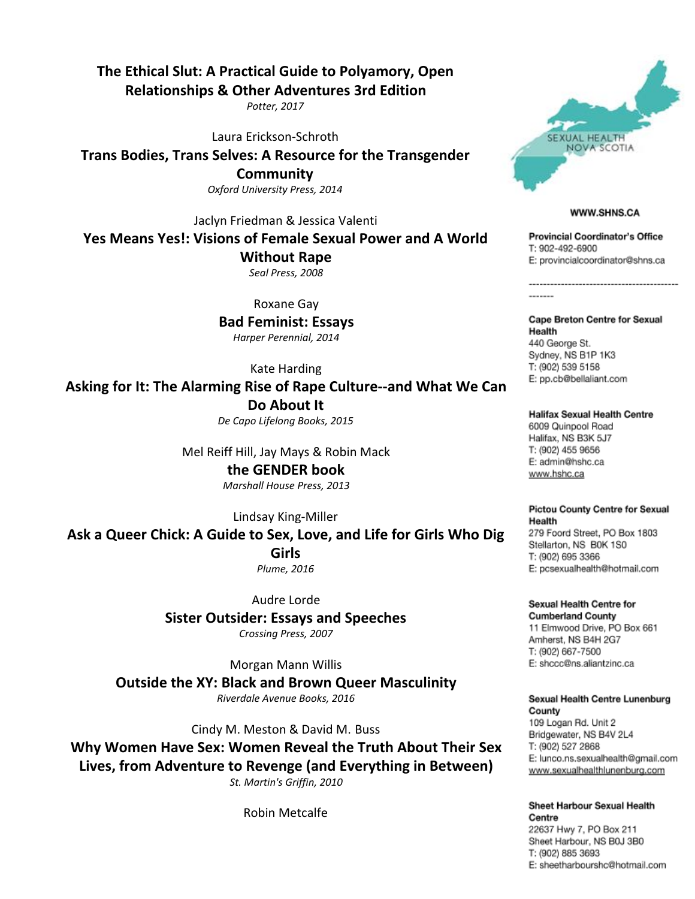# **The Ethical Slut: A Practical Guide to Polyamory, Open**

**Relationships & Other Adventures 3rd Edition**

*Potter, 2017*

Laura Erickson-Schroth

**Trans Bodies, Trans Selves: A Resource for the Transgender Community** *Oxford University Press, 2014*

Jaclyn Friedman & Jessica Valenti

**Yes Means Yes!: Visions of Female Sexual Power and A World**

**Without Rape**

*Seal Press, 2008*

Roxane Gay

**Bad Feminist: Essays** *Harper Perennial, 2014*

Kate Harding

**Asking for It: The Alarming Rise of Rape Culture--and What We Can Do About It**

*De Capo Lifelong Books, 2015*

Mel Reiff Hill, Jay Mays & Robin Mack

**the GENDER book** *Marshall House Press, 2013*

Lindsay King-Miller

**Ask a Queer Chick: A Guide to Sex, Love, and Life for Girls Who Dig**

**Girls**

*Plume, 2016*

Audre Lorde **Sister Outsider: Essays and Speeches** *Crossing Press, 2007*

Morgan Mann Willis **Outside the XY: Black and Brown Queer Masculinity** *Riverdale Avenue Books, 2016*

Cindy M. Meston & David M. Buss

**Why Women Have Sex: Women Reveal the Truth About Their Sex Lives, from Adventure to Revenge (and Everything in Between)** *St. Martin's Griffin, 2010*

Robin Metcalfe



### **WWW.SHNS.CA**

**Provincial Coordinator's Office** T: 902-492-6900 E: provincialcoordinator@shns.ca

Cape Breton Centre for Sexual Health 440 George St. Sydney, NS B1P 1K3 T: (902) 539 5158 E: pp.cb@bellaliant.com

**Halifax Sexual Health Centre** 6009 Quinpool Road Halifax, NS B3K 5J7 T: (902) 455 9656 E: admin@hshc.ca www.hshc.ca

**Pictou County Centre for Sexual** Health 279 Foord Street, PO Box 1803 Stellarton, NS B0K 1S0 T: (902) 695 3366 E: pcsexualhealth@hotmail.com

Sexual Health Centre for **Cumberland County** 11 Elmwood Drive, PO Box 661 Amherst, NS B4H 2G7 T: (902) 667-7500 E: shccc@ns.aliantzinc.ca

Sexual Health Centre Lunenburg County 109 Logan Rd. Unit 2 Bridgewater, NS B4V 2L4

T: (902) 527 2868 E: lunco.ns.sexualhealth@gmail.com www.sexualhealthlunenburg.com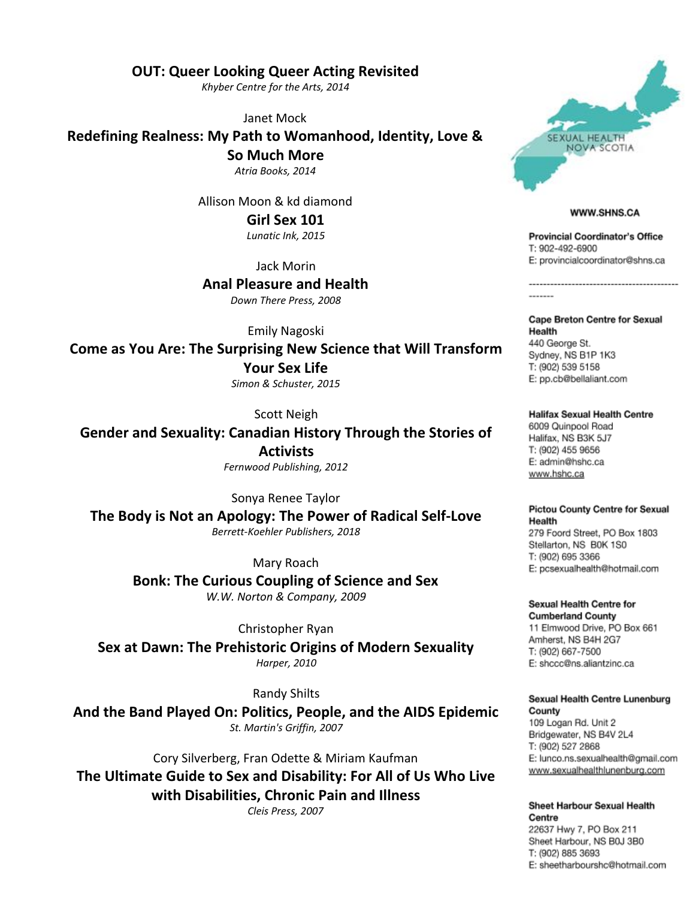**OUT: Queer Looking Queer Acting Revisited**

*Khyber Centre for the Arts, 2014*

Janet Mock

**Redefining Realness: My Path to Womanhood, Identity, Love &**

**So Much More**

*Atria Books, 2014*

Allison Moon & kd diamond

**Girl Sex 101** *Lunatic Ink, 2015*

Jack Morin

**Anal Pleasure and Health** *Down There Press, 2008*

Emily Nagoski

**Come as You Are: The Surprising New Science that Will Transform Your Sex Life**

*Simon & Schuster, 2015*

Scott Neigh

**Gender and Sexuality: Canadian History Through the Stories of Activists** *Fernwood Publishing, 2012*

Sonya Renee Taylor

**The Body is Not an Apology: The Power of Radical Self-Love** *Berrett-Koehler Publishers, 2018*

Mary Roach

**Bonk: The Curious Coupling of Science and Sex** *W.W. Norton & Company, 2009*

Christopher Ryan

**Sex at Dawn: The Prehistoric Origins of Modern Sexuality** *Harper, 2010*

Randy Shilts

**And the Band Played On: Politics, People, and the AIDS Epidemic** *St. Martin's Griffin, 2007*

Cory Silverberg, Fran Odette & Miriam Kaufman **The Ultimate Guide to Sex and Disability: For All of Us Who Live with Disabilities, Chronic Pain and Illness**

*Cleis Press, 2007*



#### **WWW.SHNS.CA**

**Provincial Coordinator's Office** T: 902-492-6900 E: provincialcoordinator@shns.ca

Cape Breton Centre for Sexual Health 440 George St. Sydney, NS B1P 1K3 T: (902) 539 5158 E: pp.cb@bellaliant.com

**Halifax Sexual Health Centre** 6009 Quinpool Road Halifax, NS B3K 5J7 T: (902) 455 9656 E: admin@hshc.ca www.hshc.ca

**Pictou County Centre for Sexual** Health 279 Foord Street, PO Box 1803 Stellarton, NS B0K 1S0

T: (902) 695 3366 E: pcsexualhealth@hotmail.com

Sexual Health Centre for **Cumberland County** 11 Elmwood Drive, PO Box 661 Amherst, NS B4H 2G7 T: (902) 667-7500 E: shccc@ns.aliantzinc.ca

Sexual Health Centre Lunenburg County

109 Logan Rd. Unit 2 Bridgewater, NS B4V 2L4 T: (902) 527 2868 E: lunco.ns.sexualhealth@gmail.com www.sexualhealthlunenburg.com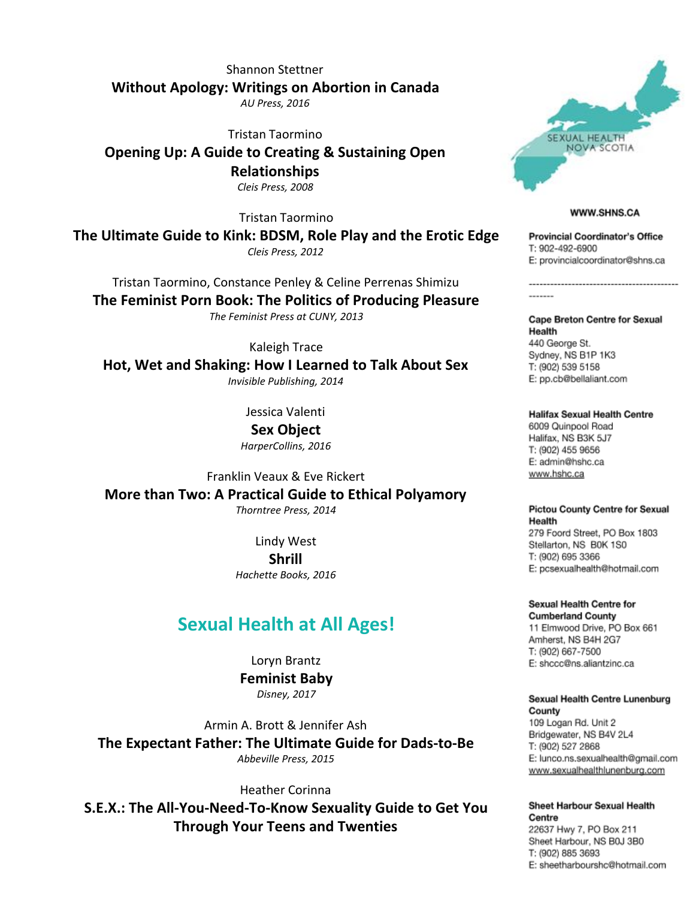Shannon Stettner **Without Apology: Writings on Abortion in Canada** *AU Press, 2016*

Tristan Taormino

**Opening Up: A Guide to Creating & Sustaining Open Relationships**

*Cleis Press, 2008*

Tristan Taormino

**The Ultimate Guide to Kink: BDSM, Role Play and the Erotic Edge** *Cleis Press, 2012*

Tristan Taormino, Constance Penley & Celine Perrenas Shimizu

**The Feminist Porn Book: The Politics of Producing Pleasure** *The Feminist Press at CUNY, 2013*

Kaleigh Trace

**Hot, Wet and Shaking: How I Learned to Talk About Sex** *Invisible Publishing, 2014*

Jessica Valenti

**Sex Object** *HarperCollins, 2016*

Franklin Veaux & Eve Rickert **More than Two: A Practical Guide to Ethical Polyamory** *Thorntree Press, 2014*

> Lindy West **Shrill** *Hachette Books, 2016*

# **Sexual Health at All Ages!**

Loryn Brantz **Feminist Baby** *Disney, 2017*

Armin A. Brott & Jennifer Ash **The Expectant Father: The Ultimate Guide for Dads-to-Be** *Abbeville Press, 2015*

Heather Corinna

**S.E.X.: The All-You-Need-To-Know Sexuality Guide to Get You Through Your Teens and Twenties**



#### **WWW.SHNS.CA**

**Provincial Coordinator's Office** T: 902-492-6900 E: provincialcoordinator@shns.ca

Cape Breton Centre for Sexual Health 440 George St. Sydney, NS B1P 1K3 T: (902) 539 5158 E: pp.cb@bellaliant.com

**Halifax Sexual Health Centre** 6009 Quinpool Road Halifax, NS B3K 5J7 T: (902) 455 9656 E: admin@hshc.ca www.hshc.ca

**Pictou County Centre for Sexual** Health 279 Foord Street, PO Box 1803 Stellarton, NS B0K 1S0 T: (902) 695 3366

E: pcsexualhealth@hotmail.com

Sexual Health Centre for **Cumberland County** 11 Elmwood Drive, PO Box 661 Amherst, NS B4H 2G7 T: (902) 667-7500

E: shccc@ns.aliantzinc.ca

Sexual Health Centre Lunenburg County 109 Logan Rd. Unit 2

Bridgewater, NS B4V 2L4 T: (902) 527 2868 E: lunco.ns.sexualhealth@gmail.com www.sexualhealthlunenburg.com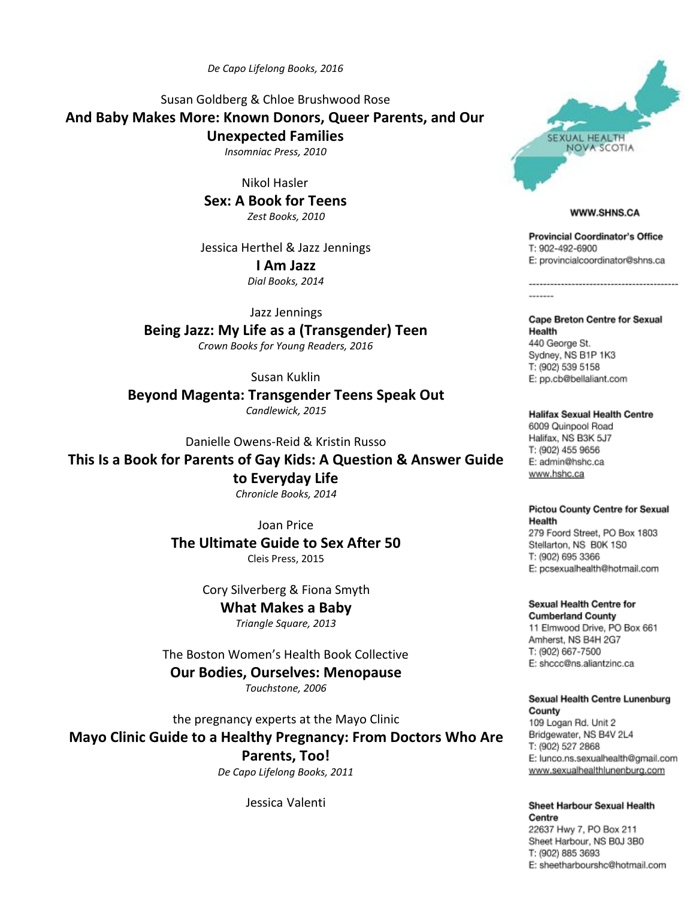*De Capo Lifelong Books, 2016*

Susan Goldberg & Chloe Brushwood Rose **And Baby Makes More: Known Donors, Queer Parents, and Our Unexpected Families**

*Insomniac Press, 2010*

Nikol Hasler **Sex: A Book for Teens** *Zest Books, 2010*

Jessica Herthel & Jazz Jennings **I Am Jazz**

*Dial Books, 2014*

Jazz Jennings **Being Jazz: My Life as a (Transgender) Teen** *Crown Books for Young Readers, 2016*

Susan Kuklin

**Beyond Magenta: Transgender Teens Speak Out** *Candlewick, 2015*

Danielle Owens-Reid & Kristin Russo

**This Is a Book for Parents of Gay Kids: A Question & Answer Guide**

**to Everyday Life** *Chronicle Books, 2014*

Joan Price **The Ultimate Guide to Sex After 50** Cleis Press, 2015

> Cory Silverberg & Fiona Smyth **What Makes a Baby**

*Triangle Square, 2013*

The Boston Women's Health Book Collective **Our Bodies, Ourselves: Menopause** *Touchstone, 2006*

the pregnancy experts at the Mayo Clinic **Mayo Clinic Guide to a Healthy Pregnancy: From Doctors Who Are Parents, Too!** *De Capo Lifelong Books, 2011*

Jessica Valenti



# **WWW.SHNS.CA**

**Provincial Coordinator's Office** T: 902-492-6900 E: provincialcoordinator@shns.ca

Cape Breton Centre for Sexual Health 440 George St. Sydney, NS B1P 1K3 T: (902) 539 5158 E: pp.cb@bellaliant.com

**Halifax Sexual Health Centre** 6009 Quinpool Road Halifax, NS B3K 5J7 T: (902) 455 9656 E: admin@hshc.ca www.hshc.ca

# **Pictou County Centre for Sexual** Health

279 Foord Street, PO Box 1803 Stellarton, NS B0K 1S0 T: (902) 695 3366 E: pcsexualhealth@hotmail.com

Sexual Health Centre for **Cumberland County** 11 Elmwood Drive, PO Box 661 Amherst, NS B4H 2G7 T: (902) 667-7500 E: shccc@ns.aliantzinc.ca

Sexual Health Centre Lunenburg County 109 Logan Rd. Unit 2 Bridgewater, NS B4V 2L4 T: (902) 527 2868 E: lunco.ns.sexualhealth@gmail.com

www.sexualhealthlunenburg.com